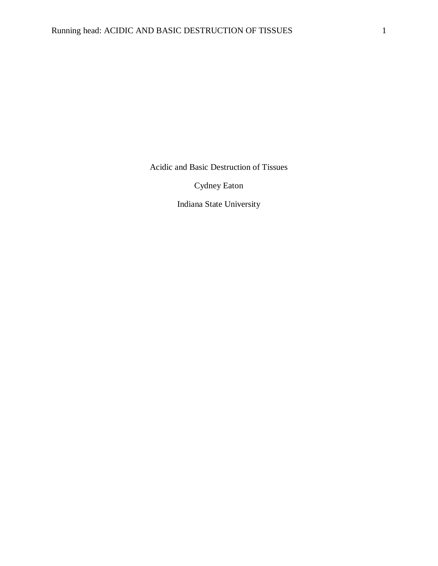Acidic and Basic Destruction of Tissues

Cydney Eaton

Indiana State University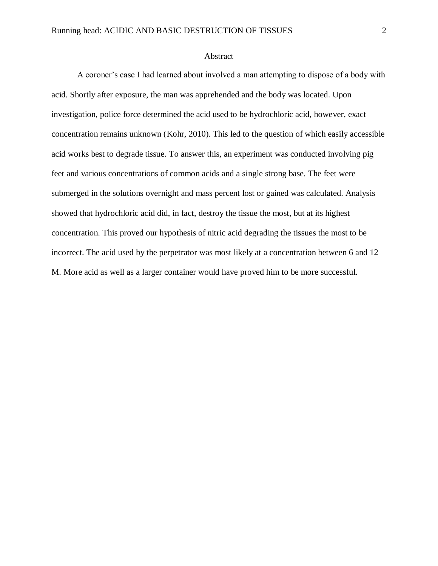# Abstract

A coroner's case I had learned about involved a man attempting to dispose of a body with acid. Shortly after exposure, the man was apprehended and the body was located. Upon investigation, police force determined the acid used to be hydrochloric acid, however, exact concentration remains unknown (Kohr, 2010). This led to the question of which easily accessible acid works best to degrade tissue. To answer this, an experiment was conducted involving pig feet and various concentrations of common acids and a single strong base. The feet were submerged in the solutions overnight and mass percent lost or gained was calculated. Analysis showed that hydrochloric acid did, in fact, destroy the tissue the most, but at its highest concentration. This proved our hypothesis of nitric acid degrading the tissues the most to be incorrect. The acid used by the perpetrator was most likely at a concentration between 6 and 12 M. More acid as well as a larger container would have proved him to be more successful.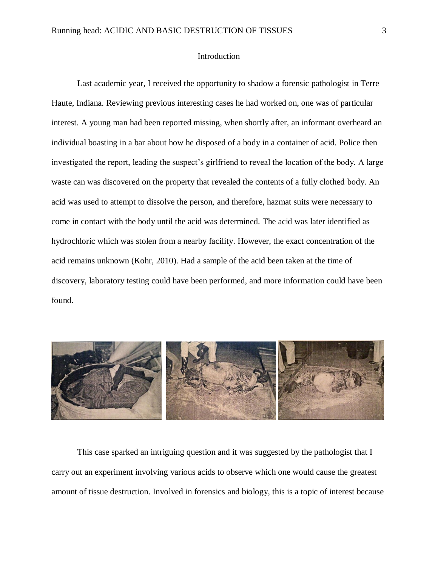# Introduction

Last academic year, I received the opportunity to shadow a forensic pathologist in Terre Haute, Indiana. Reviewing previous interesting cases he had worked on, one was of particular interest. A young man had been reported missing, when shortly after, an informant overheard an individual boasting in a bar about how he disposed of a body in a container of acid. Police then investigated the report, leading the suspect's girlfriend to reveal the location of the body. A large waste can was discovered on the property that revealed the contents of a fully clothed body. An acid was used to attempt to dissolve the person, and therefore, hazmat suits were necessary to come in contact with the body until the acid was determined. The acid was later identified as hydrochloric which was stolen from a nearby facility. However, the exact concentration of the acid remains unknown (Kohr, 2010). Had a sample of the acid been taken at the time of discovery, laboratory testing could have been performed, and more information could have been found.



This case sparked an intriguing question and it was suggested by the pathologist that I carry out an experiment involving various acids to observe which one would cause the greatest amount of tissue destruction. Involved in forensics and biology, this is a topic of interest because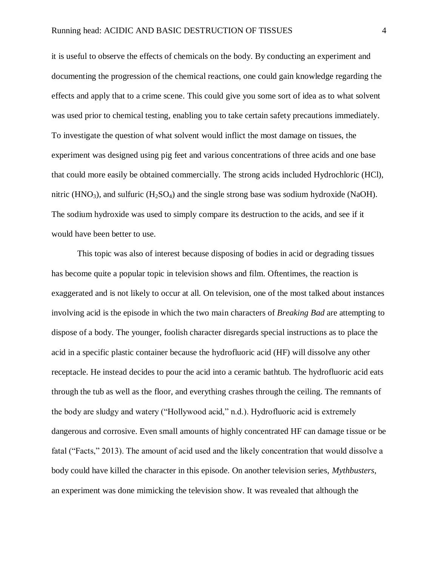it is useful to observe the effects of chemicals on the body. By conducting an experiment and documenting the progression of the chemical reactions, one could gain knowledge regarding the effects and apply that to a crime scene. This could give you some sort of idea as to what solvent was used prior to chemical testing, enabling you to take certain safety precautions immediately. To investigate the question of what solvent would inflict the most damage on tissues, the experiment was designed using pig feet and various concentrations of three acids and one base that could more easily be obtained commercially. The strong acids included Hydrochloric (HCl), nitric (HNO<sub>3</sub>), and sulfuric (H<sub>2</sub>SO<sub>4</sub>) and the single strong base was sodium hydroxide (NaOH). The sodium hydroxide was used to simply compare its destruction to the acids, and see if it would have been better to use.

This topic was also of interest because disposing of bodies in acid or degrading tissues has become quite a popular topic in television shows and film. Oftentimes, the reaction is exaggerated and is not likely to occur at all. On television, one of the most talked about instances involving acid is the episode in which the two main characters of *Breaking Bad* are attempting to dispose of a body. The younger, foolish character disregards special instructions as to place the acid in a specific plastic container because the hydrofluoric acid (HF) will dissolve any other receptacle. He instead decides to pour the acid into a ceramic bathtub. The hydrofluoric acid eats through the tub as well as the floor, and everything crashes through the ceiling. The remnants of the body are sludgy and watery ("Hollywood acid," n.d.). Hydrofluoric acid is extremely dangerous and corrosive. Even small amounts of highly concentrated HF can damage tissue or be fatal ("Facts," 2013). The amount of acid used and the likely concentration that would dissolve a body could have killed the character in this episode. On another television series, *Mythbusters*, an experiment was done mimicking the television show. It was revealed that although the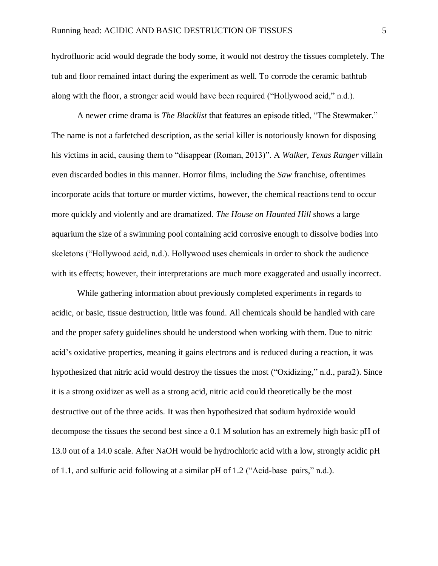hydrofluoric acid would degrade the body some, it would not destroy the tissues completely. The tub and floor remained intact during the experiment as well. To corrode the ceramic bathtub along with the floor, a stronger acid would have been required ("Hollywood acid," n.d.).

A newer crime drama is *The Blacklist* that features an episode titled, "The Stewmaker." The name is not a farfetched description, as the serial killer is notoriously known for disposing his victims in acid, causing them to "disappear (Roman, 2013)". A *Walker, Texas Ranger* villain even discarded bodies in this manner. Horror films, including the *Saw* franchise, oftentimes incorporate acids that torture or murder victims, however, the chemical reactions tend to occur more quickly and violently and are dramatized. *The House on Haunted Hill* shows a large aquarium the size of a swimming pool containing acid corrosive enough to dissolve bodies into skeletons ("Hollywood acid, n.d.). Hollywood uses chemicals in order to shock the audience with its effects; however, their interpretations are much more exaggerated and usually incorrect.

While gathering information about previously completed experiments in regards to acidic, or basic, tissue destruction, little was found. All chemicals should be handled with care and the proper safety guidelines should be understood when working with them. Due to nitric acid's oxidative properties, meaning it gains electrons and is reduced during a reaction, it was hypothesized that nitric acid would destroy the tissues the most ("Oxidizing," n.d., para2). Since it is a strong oxidizer as well as a strong acid, nitric acid could theoretically be the most destructive out of the three acids. It was then hypothesized that sodium hydroxide would decompose the tissues the second best since a 0.1 M solution has an extremely high basic pH of 13.0 out of a 14.0 scale. After NaOH would be hydrochloric acid with a low, strongly acidic pH of 1.1, and sulfuric acid following at a similar pH of 1.2 ("Acid-base pairs," n.d.).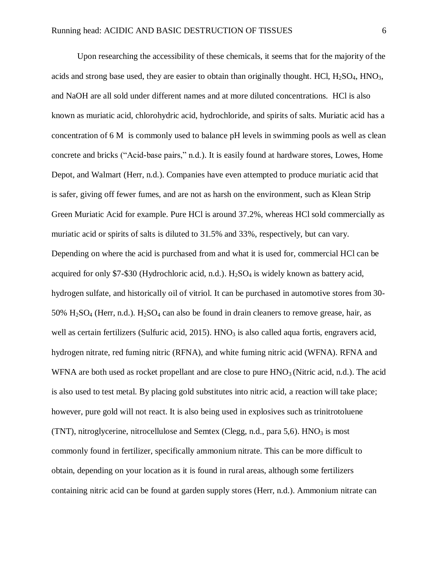Upon researching the accessibility of these chemicals, it seems that for the majority of the acids and strong base used, they are easier to obtain than originally thought. HCl,  $H_2SO_4$ , HNO<sub>3</sub>, and NaOH are all sold under different names and at more diluted concentrations. HCl is also known as muriatic acid, chlorohydric acid, hydrochloride, and spirits of salts. Muriatic acid has a concentration of 6 M is commonly used to balance pH levels in swimming pools as well as clean concrete and bricks ("Acid-base pairs," n.d.). It is easily found at hardware stores, Lowes, Home Depot, and Walmart (Herr, n.d.). Companies have even attempted to produce muriatic acid that is safer, giving off fewer fumes, and are not as harsh on the environment, such as Klean Strip Green Muriatic Acid for example. Pure HCl is around 37.2%, whereas HCl sold commercially as muriatic acid or spirits of salts is diluted to 31.5% and 33%, respectively, but can vary. Depending on where the acid is purchased from and what it is used for, commercial HCl can be acquired for only \$7-\$30 (Hydrochloric acid, n.d.).  $H_2SO_4$  is widely known as battery acid, hydrogen sulfate, and historically oil of vitriol. It can be purchased in automotive stores from 30- 50%  $H_2SO_4$  (Herr, n.d.).  $H_2SO_4$  can also be found in drain cleaners to remove grease, hair, as well as certain fertilizers (Sulfuric acid, 2015).  $HNO<sub>3</sub>$  is also called aqua fortis, engravers acid, hydrogen nitrate, red fuming nitric (RFNA), and white fuming nitric acid (WFNA). RFNA and WFNA are both used as rocket propellant and are close to pure  $HNO<sub>3</sub>$  (Nitric acid, n.d.). The acid is also used to test metal. By placing gold substitutes into nitric acid, a reaction will take place; however, pure gold will not react. It is also being used in explosives such as trinitrotoluene (TNT), nitroglycerine, nitrocellulose and Semtex (Clegg, n.d., para 5,6).  $HNO<sub>3</sub>$  is most commonly found in fertilizer, specifically ammonium nitrate. This can be more difficult to obtain, depending on your location as it is found in rural areas, although some fertilizers containing nitric acid can be found at garden supply stores (Herr, n.d.). Ammonium nitrate can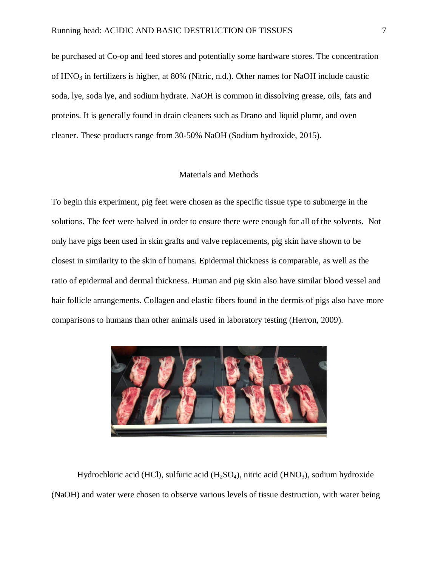be purchased at Co-op and feed stores and potentially some hardware stores. The concentration of HNO<sub>3</sub> in fertilizers is higher, at 80% (Nitric, n.d.). Other names for NaOH include caustic soda, lye, soda lye, and sodium hydrate. NaOH is common in dissolving grease, oils, fats and proteins. It is generally found in drain cleaners such as Drano and liquid plumr, and oven cleaner. These products range from 30-50% NaOH (Sodium hydroxide, 2015).

### Materials and Methods

To begin this experiment, pig feet were chosen as the specific tissue type to submerge in the solutions. The feet were halved in order to ensure there were enough for all of the solvents. Not only have pigs been used in skin grafts and valve replacements, pig skin have shown to be closest in similarity to the skin of humans. Epidermal thickness is comparable, as well as the ratio of epidermal and dermal thickness. Human and pig skin also have similar blood vessel and hair follicle arrangements. Collagen and elastic fibers found in the dermis of pigs also have more comparisons to humans than other animals used in laboratory testing (Herron, 2009).



Hydrochloric acid (HCl), sulfuric acid (H<sub>2</sub>SO<sub>4</sub>), nitric acid (HNO<sub>3</sub>), sodium hydroxide (NaOH) and water were chosen to observe various levels of tissue destruction, with water being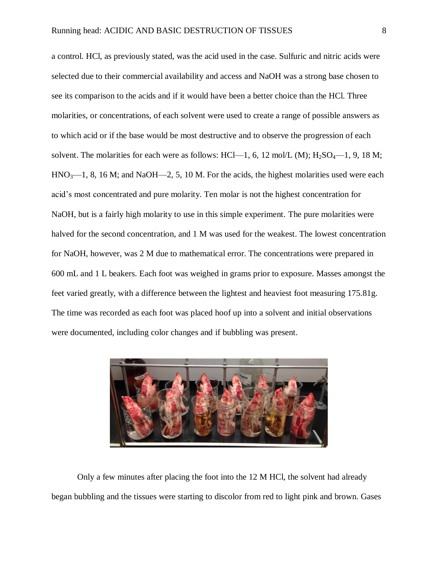a control. HCl, as previously stated, was the acid used in the case. Sulfuric and nitric acids were selected due to their commercial availability and access and NaOH was a strong base chosen to see its comparison to the acids and if it would have been a better choice than the HCl. Three molarities, or concentrations, of each solvent were used to create a range of possible answers as to which acid or if the base would be most destructive and to observe the progression of each solvent. The molarities for each were as follows: HCl—1, 6, 12 mol/L (M);  $H_2SO_4$ —1, 9, 18 M;  $HNO<sub>3</sub>$ —1, 8, 16 M; and NaOH—2, 5, 10 M. For the acids, the highest molarities used were each acid's most concentrated and pure molarity. Ten molar is not the highest concentration for NaOH, but is a fairly high molarity to use in this simple experiment. The pure molarities were halved for the second concentration, and 1 M was used for the weakest. The lowest concentration for NaOH, however, was 2 M due to mathematical error. The concentrations were prepared in 600 mL and 1 L beakers. Each foot was weighed in grams prior to exposure. Masses amongst the feet varied greatly, with a difference between the lightest and heaviest foot measuring 175.81g. The time was recorded as each foot was placed hoof up into a solvent and initial observations were documented, including color changes and if bubbling was present.



Only a few minutes after placing the foot into the 12 M HCl, the solvent had already began bubbling and the tissues were starting to discolor from red to light pink and brown. Gases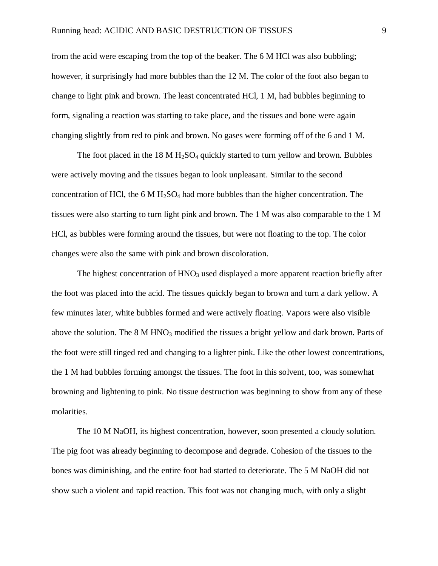from the acid were escaping from the top of the beaker. The 6 M HCl was also bubbling; however, it surprisingly had more bubbles than the 12 M. The color of the foot also began to change to light pink and brown. The least concentrated HCl, 1 M, had bubbles beginning to form, signaling a reaction was starting to take place, and the tissues and bone were again changing slightly from red to pink and brown. No gases were forming off of the 6 and 1 M.

The foot placed in the  $18 \text{ M H}_2\text{SO}_4$  quickly started to turn yellow and brown. Bubbles were actively moving and the tissues began to look unpleasant. Similar to the second concentration of HCl, the 6 M  $H_2SO_4$  had more bubbles than the higher concentration. The tissues were also starting to turn light pink and brown. The 1 M was also comparable to the 1 M HCl, as bubbles were forming around the tissues, but were not floating to the top. The color changes were also the same with pink and brown discoloration.

The highest concentration of  $HNO<sub>3</sub>$  used displayed a more apparent reaction briefly after the foot was placed into the acid. The tissues quickly began to brown and turn a dark yellow. A few minutes later, white bubbles formed and were actively floating. Vapors were also visible above the solution. The  $8 \text{ M HNO}_3$  modified the tissues a bright yellow and dark brown. Parts of the foot were still tinged red and changing to a lighter pink. Like the other lowest concentrations, the 1 M had bubbles forming amongst the tissues. The foot in this solvent, too, was somewhat browning and lightening to pink. No tissue destruction was beginning to show from any of these molarities.

The 10 M NaOH, its highest concentration, however, soon presented a cloudy solution. The pig foot was already beginning to decompose and degrade. Cohesion of the tissues to the bones was diminishing, and the entire foot had started to deteriorate. The 5 M NaOH did not show such a violent and rapid reaction. This foot was not changing much, with only a slight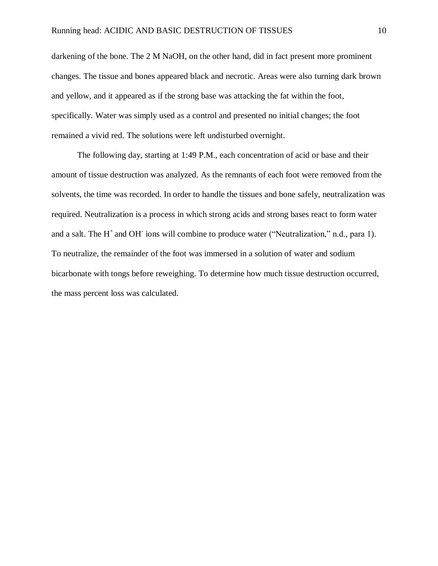darkening of the bone. The 2 M NaOH, on the other hand, did in fact present more prominent changes. The tissue and bones appeared black and necrotic. Areas were also turning dark brown and yellow, and it appeared as if the strong base was attacking the fat within the foot, specifically. Water was simply used as a control and presented no initial changes; the foot remained a vivid red. The solutions were left undisturbed overnight.

The following day, starting at 1:49 P.M., each concentration of acid or base and their amount of tissue destruction was analyzed. As the remnants of each foot were removed from the solvents, the time was recorded. In order to handle the tissues and bone safely, neutralization was required. Neutralization is a process in which strong acids and strong bases react to form water and a salt. The  $H^+$  and OH<sup>-</sup> ions will combine to produce water ("Neutralization," n.d., para 1). To neutralize, the remainder of the foot was immersed in a solution of water and sodium bicarbonate with tongs before reweighing. To determine how much tissue destruction occurred, the mass percent loss was calculated.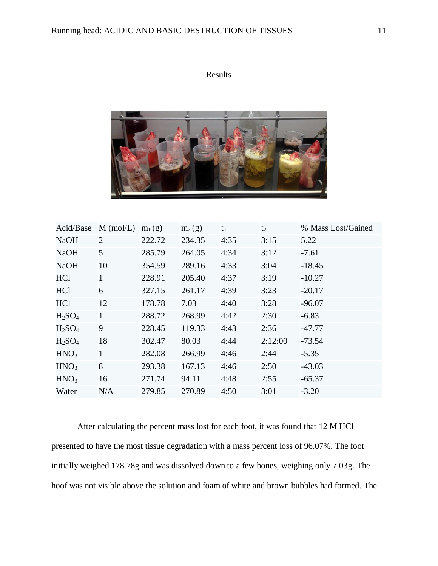

| Acid/Base                      | $M$ (mol/L)    | $m_1(g)$ | $m_2(g)$ | $t_1$ | t <sub>2</sub> | % Mass Lost/Gained |
|--------------------------------|----------------|----------|----------|-------|----------------|--------------------|
| <b>NaOH</b>                    | $\overline{2}$ | 222.72   | 234.35   | 4:35  | 3:15           | 5.22               |
| <b>NaOH</b>                    | 5              | 285.79   | 264.05   | 4:34  | 3:12           | $-7.61$            |
| <b>NaOH</b>                    | 10             | 354.59   | 289.16   | 4:33  | 3:04           | $-18.45$           |
| HCl                            | 1              | 228.91   | 205.40   | 4:37  | 3:19           | $-10.27$           |
| <b>HCl</b>                     | 6              | 327.15   | 261.17   | 4:39  | 3:23           | $-20.17$           |
| <b>HCl</b>                     | 12             | 178.78   | 7.03     | 4:40  | 3:28           | $-96.07$           |
| H <sub>2</sub> SO <sub>4</sub> | 1              | 288.72   | 268.99   | 4:42  | 2:30           | $-6.83$            |
| H <sub>2</sub> SO <sub>4</sub> | 9              | 228.45   | 119.33   | 4:43  | 2:36           | $-47.77$           |
| H <sub>2</sub> SO <sub>4</sub> | 18             | 302.47   | 80.03    | 4:44  | 2:12:00        | $-73.54$           |
| HNO <sub>3</sub>               | $\mathbf{1}$   | 282.08   | 266.99   | 4:46  | 2:44           | $-5.35$            |
| HNO <sub>3</sub>               | 8              | 293.38   | 167.13   | 4:46  | 2:50           | $-43.03$           |
| HNO <sub>3</sub>               | 16             | 271.74   | 94.11    | 4:48  | 2:55           | $-65.37$           |
| Water                          | N/A            | 279.85   | 270.89   | 4:50  | 3:01           | $-3.20$            |

After calculating the percent mass lost for each foot, it was found that 12 M HCl presented to have the most tissue degradation with a mass percent loss of 96.07%. The foot initially weighed 178.78g and was dissolved down to a few bones, weighing only 7.03g. The hoof was not visible above the solution and foam of white and brown bubbles had formed. The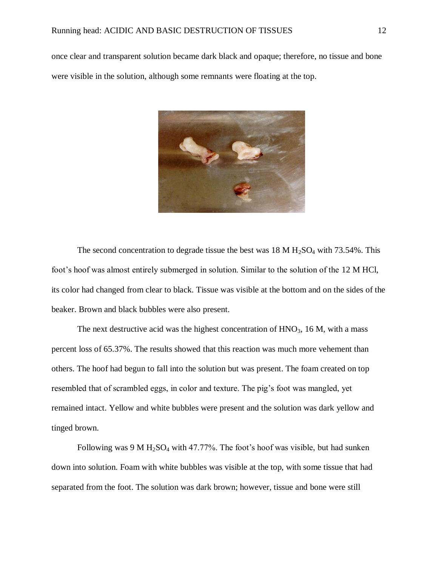once clear and transparent solution became dark black and opaque; therefore, no tissue and bone were visible in the solution, although some remnants were floating at the top.



The second concentration to degrade tissue the best was  $18 \text{ M H}_2\text{SO}_4$  with 73.54%. This foot's hoof was almost entirely submerged in solution. Similar to the solution of the 12 M HCl, its color had changed from clear to black. Tissue was visible at the bottom and on the sides of the beaker. Brown and black bubbles were also present.

The next destructive acid was the highest concentration of  $HNO<sub>3</sub>$ , 16 M, with a mass percent loss of 65.37%. The results showed that this reaction was much more vehement than others. The hoof had begun to fall into the solution but was present. The foam created on top resembled that of scrambled eggs, in color and texture. The pig's foot was mangled, yet remained intact. Yellow and white bubbles were present and the solution was dark yellow and tinged brown.

Following was 9 M  $H_2SO_4$  with 47.77%. The foot's hoof was visible, but had sunken down into solution. Foam with white bubbles was visible at the top, with some tissue that had separated from the foot. The solution was dark brown; however, tissue and bone were still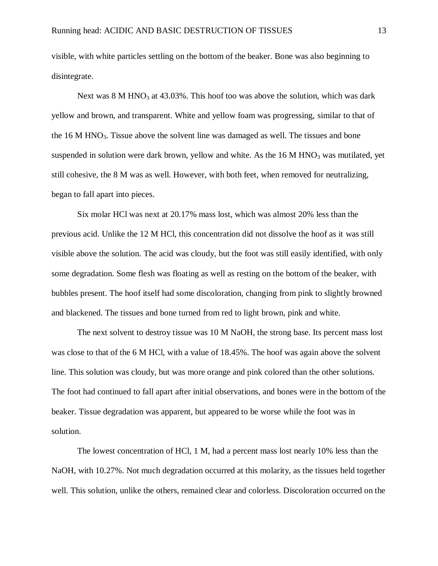visible, with white particles settling on the bottom of the beaker. Bone was also beginning to disintegrate.

Next was 8 M HNO<sub>3</sub> at 43.03%. This hoof too was above the solution, which was dark yellow and brown, and transparent. White and yellow foam was progressing, similar to that of the 16 M HNO3. Tissue above the solvent line was damaged as well. The tissues and bone suspended in solution were dark brown, yellow and white. As the  $16 M HNO<sub>3</sub>$  was mutilated, yet still cohesive, the 8 M was as well. However, with both feet, when removed for neutralizing, began to fall apart into pieces.

Six molar HCl was next at 20.17% mass lost, which was almost 20% less than the previous acid. Unlike the 12 M HCl, this concentration did not dissolve the hoof as it was still visible above the solution. The acid was cloudy, but the foot was still easily identified, with only some degradation. Some flesh was floating as well as resting on the bottom of the beaker, with bubbles present. The hoof itself had some discoloration, changing from pink to slightly browned and blackened. The tissues and bone turned from red to light brown, pink and white.

The next solvent to destroy tissue was 10 M NaOH, the strong base. Its percent mass lost was close to that of the 6 M HCl, with a value of 18.45%. The hoof was again above the solvent line. This solution was cloudy, but was more orange and pink colored than the other solutions. The foot had continued to fall apart after initial observations, and bones were in the bottom of the beaker. Tissue degradation was apparent, but appeared to be worse while the foot was in solution.

The lowest concentration of HCl, 1 M, had a percent mass lost nearly 10% less than the NaOH, with 10.27%. Not much degradation occurred at this molarity, as the tissues held together well. This solution, unlike the others, remained clear and colorless. Discoloration occurred on the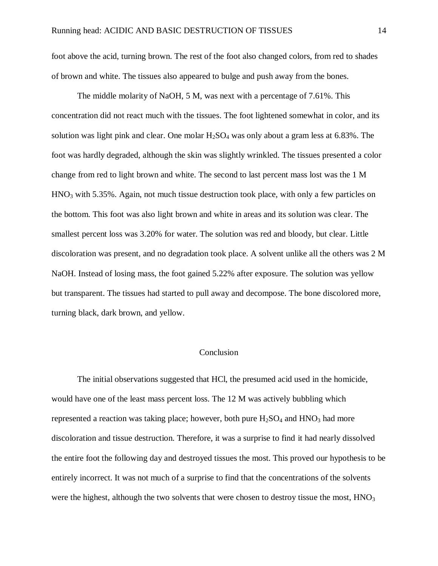foot above the acid, turning brown. The rest of the foot also changed colors, from red to shades of brown and white. The tissues also appeared to bulge and push away from the bones.

The middle molarity of NaOH, 5 M, was next with a percentage of 7.61%. This concentration did not react much with the tissues. The foot lightened somewhat in color, and its solution was light pink and clear. One molar  $H_2SO_4$  was only about a gram less at 6.83%. The foot was hardly degraded, although the skin was slightly wrinkled. The tissues presented a color change from red to light brown and white. The second to last percent mass lost was the 1 M  $HNO<sub>3</sub>$  with 5.35%. Again, not much tissue destruction took place, with only a few particles on the bottom. This foot was also light brown and white in areas and its solution was clear. The smallest percent loss was 3.20% for water. The solution was red and bloody, but clear. Little discoloration was present, and no degradation took place. A solvent unlike all the others was 2 M NaOH. Instead of losing mass, the foot gained 5.22% after exposure. The solution was yellow but transparent. The tissues had started to pull away and decompose. The bone discolored more, turning black, dark brown, and yellow.

### Conclusion

The initial observations suggested that HCl, the presumed acid used in the homicide, would have one of the least mass percent loss. The 12 M was actively bubbling which represented a reaction was taking place; however, both pure  $H_2SO_4$  and  $HNO_3$  had more discoloration and tissue destruction. Therefore, it was a surprise to find it had nearly dissolved the entire foot the following day and destroyed tissues the most. This proved our hypothesis to be entirely incorrect. It was not much of a surprise to find that the concentrations of the solvents were the highest, although the two solvents that were chosen to destroy tissue the most,  $HNO<sub>3</sub>$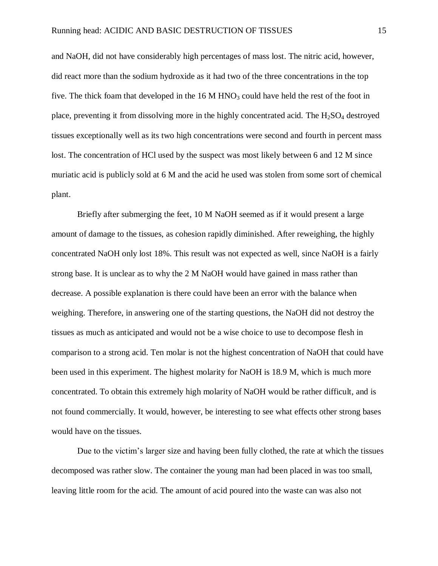and NaOH, did not have considerably high percentages of mass lost. The nitric acid, however, did react more than the sodium hydroxide as it had two of the three concentrations in the top five. The thick foam that developed in the 16 M HNO<sub>3</sub> could have held the rest of the foot in place, preventing it from dissolving more in the highly concentrated acid. The  $H_2SO_4$  destroyed tissues exceptionally well as its two high concentrations were second and fourth in percent mass lost. The concentration of HCl used by the suspect was most likely between 6 and 12 M since muriatic acid is publicly sold at 6 M and the acid he used was stolen from some sort of chemical plant.

Briefly after submerging the feet, 10 M NaOH seemed as if it would present a large amount of damage to the tissues, as cohesion rapidly diminished. After reweighing, the highly concentrated NaOH only lost 18%. This result was not expected as well, since NaOH is a fairly strong base. It is unclear as to why the 2 M NaOH would have gained in mass rather than decrease. A possible explanation is there could have been an error with the balance when weighing. Therefore, in answering one of the starting questions, the NaOH did not destroy the tissues as much as anticipated and would not be a wise choice to use to decompose flesh in comparison to a strong acid. Ten molar is not the highest concentration of NaOH that could have been used in this experiment. The highest molarity for NaOH is 18.9 M, which is much more concentrated. To obtain this extremely high molarity of NaOH would be rather difficult, and is not found commercially. It would, however, be interesting to see what effects other strong bases would have on the tissues.

Due to the victim's larger size and having been fully clothed, the rate at which the tissues decomposed was rather slow. The container the young man had been placed in was too small, leaving little room for the acid. The amount of acid poured into the waste can was also not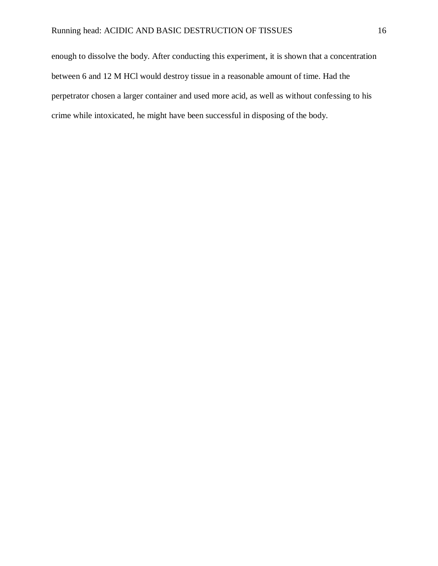enough to dissolve the body. After conducting this experiment, it is shown that a concentration between 6 and 12 M HCl would destroy tissue in a reasonable amount of time. Had the perpetrator chosen a larger container and used more acid, as well as without confessing to his crime while intoxicated, he might have been successful in disposing of the body.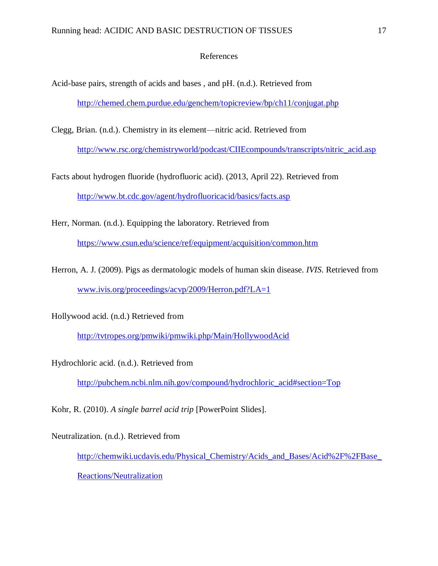### References

- Acid-base pairs, strength of acids and bases , and pH. (n.d.). Retrieved from <http://chemed.chem.purdue.edu/genchem/topicreview/bp/ch11/conjugat.php>
- Clegg, Brian. (n.d.). Chemistry in its element—nitric acid. Retrieved from [http://www.rsc.org/chemistryworld/podcast/CIIEcompounds/transcripts/nitric\\_acid.asp](http://www.rsc.org/chemistryworld/podcast/CIIEcompounds/transcripts/nitric_acid.asp)
- Facts about hydrogen fluoride (hydrofluoric acid). (2013, April 22). Retrieved from <http://www.bt.cdc.gov/agent/hydrofluoricacid/basics/facts.asp>
- Herr, Norman. (n.d.). Equipping the laboratory. Retrieved from <https://www.csun.edu/science/ref/equipment/acquisition/common.htm>
- Herron, A. J. (2009). Pigs as dermatologic models of human skin disease. *IVIS*. Retrieved from [www.ivis.org/proceedings/acvp/2009/Herron.pdf?LA=1](http://www.ivis.org/proceedings/acvp/2009/Herron.pdf?LA=1)
- Hollywood acid. (n.d.) Retrieved from

<http://tvtropes.org/pmwiki/pmwiki.php/Main/HollywoodAcid>

Hydrochloric acid. (n.d.). Retrieved from

[http://pubchem.ncbi.nlm.nih.gov/compound/hydrochloric\\_acid#section=Top](http://pubchem.ncbi.nlm.nih.gov/compound/hydrochloric_acid#section=Top)

Kohr, R. (2010). *A single barrel acid trip* [PowerPoint Slides].

Neutralization. (n.d.). Retrieved from http://chemwiki.ucdavis.edu/Physical\_Chemistry/Acids\_and\_Bases/Acid%2F%2FBase [Reactions/Neutralization](http://chemwiki.ucdavis.edu/Physical_Chemistry/Acids_and_Bases/Acid%2F%2FBase_Reactions/Neutralization)